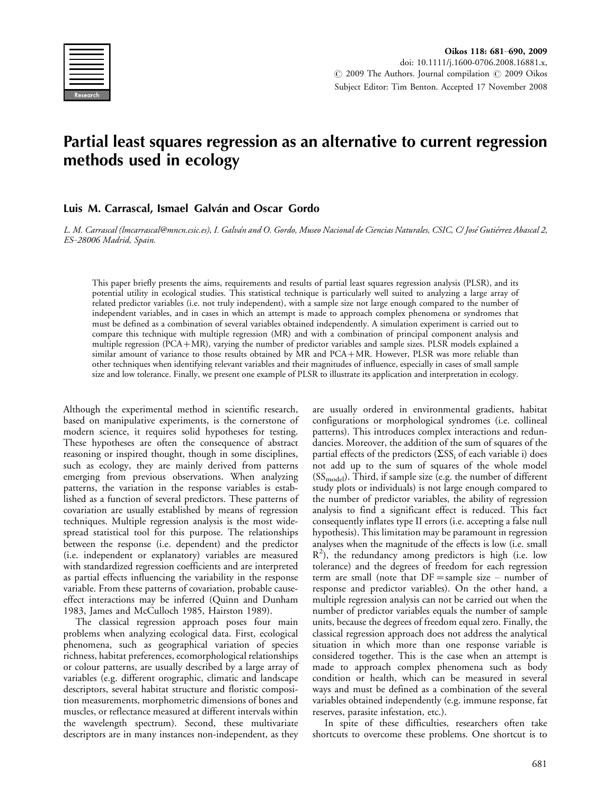

# Partial least squares regression as an alternative to current regression methods used in ecology

# Luis M. Carrascal, Ismael Galván and Oscar Gordo

L. M. Carrascal (lmcarrascal@mncn.csic.es), I. Galván and O. Gordo, Museo Nacional de Ciencias Naturales, CSIC, C/ José Gutiérrez Abascal 2, ES-28006 Madrid, Spain.

This paper briefly presents the aims, requirements and results of partial least squares regression analysis (PLSR), and its potential utility in ecological studies. This statistical technique is particularly well suited to analyzing a large array of related predictor variables (i.e. not truly independent), with a sample size not large enough compared to the number of independent variables, and in cases in which an attempt is made to approach complex phenomena or syndromes that must be defined as a combination of several variables obtained independently. A simulation experiment is carried out to compare this technique with multiple regression (MR) and with a combination of principal component analysis and multiple regression (PCA-MR), varying the number of predictor variables and sample sizes. PLSR models explained a similar amount of variance to those results obtained by MR and PCA-MR. However, PLSR was more reliable than other techniques when identifying relevant variables and their magnitudes of influence, especially in cases of small sample size and low tolerance. Finally, we present one example of PLSR to illustrate its application and interpretation in ecology.

Although the experimental method in scientific research, based on manipulative experiments, is the cornerstone of modern science, it requires solid hypotheses for testing. These hypotheses are often the consequence of abstract reasoning or inspired thought, though in some disciplines, such as ecology, they are mainly derived from patterns emerging from previous observations. When analyzing patterns, the variation in the response variables is established as a function of several predictors. These patterns of covariation are usually established by means of regression techniques. Multiple regression analysis is the most widespread statistical tool for this purpose. The relationships between the response (i.e. dependent) and the predictor (i.e. independent or explanatory) variables are measured with standardized regression coefficients and are interpreted as partial effects influencing the variability in the response variable. From these patterns of covariation, probable causeeffect interactions may be inferred (Quinn and Dunham 1983, James and McCulloch 1985, Hairston 1989).

The classical regression approach poses four main problems when analyzing ecological data. First, ecological phenomena, such as geographical variation of species richness, habitat preferences, ecomorphological relationships or colour patterns, are usually described by a large array of variables (e.g. different orographic, climatic and landscape descriptors, several habitat structure and floristic composition measurements, morphometric dimensions of bones and muscles, or reflectance measured at different intervals within the wavelength spectrum). Second, these multivariate descriptors are in many instances non-independent, as they are usually ordered in environmental gradients, habitat configurations or morphological syndromes (i.e. collineal patterns). This introduces complex interactions and redundancies. Moreover, the addition of the sum of squares of the partial effects of the predictors ( $\Sigma S$ <sub>i</sub> of each variable i) does not add up to the sum of squares of the whole model  $(SS_{model})$ . Third, if sample size (e.g. the number of different study plots or individuals) is not large enough compared to the number of predictor variables, the ability of regression analysis to find a significant effect is reduced. This fact consequently inflates type II errors (i.e. accepting a false null hypothesis). This limitation may be paramount in regression analyses when the magnitude of the effects is low (i.e. small  $R^2$ ), the redundancy among predictors is high (i.e. low tolerance) and the degrees of freedom for each regression term are small (note that  $DF$  = sample size – number of response and predictor variables). On the other hand, a multiple regression analysis can not be carried out when the number of predictor variables equals the number of sample units, because the degrees of freedom equal zero. Finally, the classical regression approach does not address the analytical situation in which more than one response variable is considered together. This is the case when an attempt is made to approach complex phenomena such as body condition or health, which can be measured in several ways and must be defined as a combination of the several variables obtained independently (e.g. immune response, fat reserves, parasite infestation, etc.).

In spite of these difficulties, researchers often take shortcuts to overcome these problems. One shortcut is to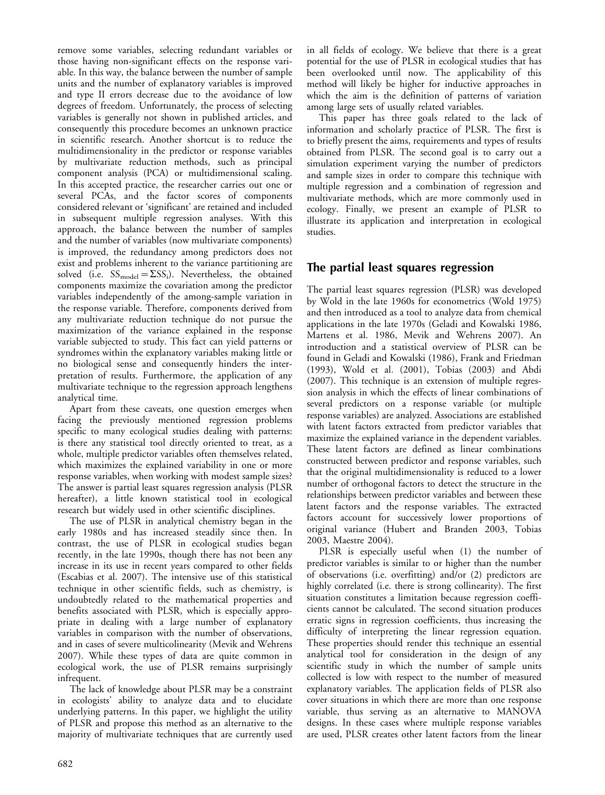remove some variables, selecting redundant variables or those having non-significant effects on the response variable. In this way, the balance between the number of sample units and the number of explanatory variables is improved and type II errors decrease due to the avoidance of low degrees of freedom. Unfortunately, the process of selecting variables is generally not shown in published articles, and consequently this procedure becomes an unknown practice in scientific research. Another shortcut is to reduce the multidimensionality in the predictor or response variables by multivariate reduction methods, such as principal component analysis (PCA) or multidimensional scaling. In this accepted practice, the researcher carries out one or several PCAs, and the factor scores of components considered relevant or 'significant' are retained and included in subsequent multiple regression analyses. With this approach, the balance between the number of samples and the number of variables (now multivariate components) is improved, the redundancy among predictors does not exist and problems inherent to the variance partitioning are solved (i.e.  $SS_{model} = \Sigma SS_i$ ). Nevertheless, the obtained components maximize the covariation among the predictor variables independently of the among-sample variation in the response variable. Therefore, components derived from any multivariate reduction technique do not pursue the maximization of the variance explained in the response variable subjected to study. This fact can yield patterns or syndromes within the explanatory variables making little or no biological sense and consequently hinders the interpretation of results. Furthermore, the application of any multivariate technique to the regression approach lengthens analytical time.

Apart from these caveats, one question emerges when facing the previously mentioned regression problems specific to many ecological studies dealing with patterns: is there any statistical tool directly oriented to treat, as a whole, multiple predictor variables often themselves related, which maximizes the explained variability in one or more response variables, when working with modest sample sizes? The answer is partial least squares regression analysis (PLSR hereafter), a little known statistical tool in ecological research but widely used in other scientific disciplines.

The use of PLSR in analytical chemistry began in the early 1980s and has increased steadily since then. In contrast, the use of PLSR in ecological studies began recently, in the late 1990s, though there has not been any increase in its use in recent years compared to other fields (Escabias et al. 2007). The intensive use of this statistical technique in other scientific fields, such as chemistry, is undoubtedly related to the mathematical properties and benefits associated with PLSR, which is especially appropriate in dealing with a large number of explanatory variables in comparison with the number of observations, and in cases of severe multicolinearity (Mevik and Wehrens 2007). While these types of data are quite common in ecological work, the use of PLSR remains surprisingly infrequent.

The lack of knowledge about PLSR may be a constraint in ecologists' ability to analyze data and to elucidate underlying patterns. In this paper, we highlight the utility of PLSR and propose this method as an alternative to the majority of multivariate techniques that are currently used

in all fields of ecology. We believe that there is a great potential for the use of PLSR in ecological studies that has been overlooked until now. The applicability of this method will likely be higher for inductive approaches in which the aim is the definition of patterns of variation among large sets of usually related variables.

This paper has three goals related to the lack of information and scholarly practice of PLSR. The first is to briefly present the aims, requirements and types of results obtained from PLSR. The second goal is to carry out a simulation experiment varying the number of predictors and sample sizes in order to compare this technique with multiple regression and a combination of regression and multivariate methods, which are more commonly used in ecology. Finally, we present an example of PLSR to illustrate its application and interpretation in ecological studies.

# The partial least squares regression

The partial least squares regression (PLSR) was developed by Wold in the late 1960s for econometrics (Wold 1975) and then introduced as a tool to analyze data from chemical applications in the late 1970s (Geladi and Kowalski 1986, Martens et al. 1986, Mevik and Wehrens 2007). An introduction and a statistical overview of PLSR can be found in Geladi and Kowalski (1986), Frank and Friedman (1993), Wold et al. (2001), Tobias (2003) and Abdi (2007). This technique is an extension of multiple regression analysis in which the effects of linear combinations of several predictors on a response variable (or multiple response variables) are analyzed. Associations are established with latent factors extracted from predictor variables that maximize the explained variance in the dependent variables. These latent factors are defined as linear combinations constructed between predictor and response variables, such that the original multidimensionality is reduced to a lower number of orthogonal factors to detect the structure in the relationships between predictor variables and between these latent factors and the response variables. The extracted factors account for successively lower proportions of original variance (Hubert and Branden 2003, Tobias 2003, Maestre 2004).

PLSR is especially useful when (1) the number of predictor variables is similar to or higher than the number of observations (i.e. overfitting) and/or (2) predictors are highly correlated (i.e. there is strong collinearity). The first situation constitutes a limitation because regression coefficients cannot be calculated. The second situation produces erratic signs in regression coefficients, thus increasing the difficulty of interpreting the linear regression equation. These properties should render this technique an essential analytical tool for consideration in the design of any scientific study in which the number of sample units collected is low with respect to the number of measured explanatory variables. The application fields of PLSR also cover situations in which there are more than one response variable, thus serving as an alternative to MANOVA designs. In these cases where multiple response variables are used, PLSR creates other latent factors from the linear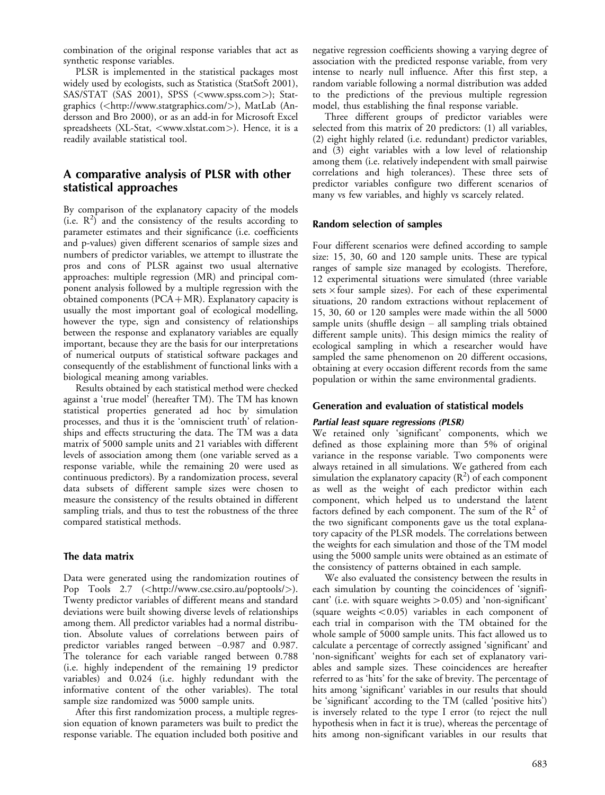combination of the original response variables that act as synthetic response variables.

PLSR is implemented in the statistical packages most widely used by ecologists, such as Statistica (StatSoft 2001), SAS/STAT (SAS 2001), SPSS (<<www.spss.com>>); Statgraphics (<http://www.statgraphics.com/>), MatLab (Andersson and Bro 2000), or as an add-in for Microsoft Excel spreadsheets (XL-Stat, <<www.xlstat.com>>). Hence, it is a readily available statistical tool.

# A comparative analysis of PLSR with other statistical approaches

By comparison of the explanatory capacity of the models  $(i.e. R<sup>2</sup>)$  and the consistency of the results according to parameter estimates and their significance (i.e. coefficients and p-values) given different scenarios of sample sizes and numbers of predictor variables, we attempt to illustrate the pros and cons of PLSR against two usual alternative approaches: multiple regression (MR) and principal component analysis followed by a multiple regression with the obtained components (PCA-MR). Explanatory capacity is usually the most important goal of ecological modelling, however the type, sign and consistency of relationships between the response and explanatory variables are equally important, because they are the basis for our interpretations of numerical outputs of statistical software packages and consequently of the establishment of functional links with a biological meaning among variables.

Results obtained by each statistical method were checked against a 'true model' (hereafter TM). The TM has known statistical properties generated ad hoc by simulation processes, and thus it is the 'omniscient truth' of relationships and effects structuring the data. The TM was a data matrix of 5000 sample units and 21 variables with different levels of association among them (one variable served as a response variable, while the remaining 20 were used as continuous predictors). By a randomization process, several data subsets of different sample sizes were chosen to measure the consistency of the results obtained in different sampling trials, and thus to test the robustness of the three compared statistical methods.

## The data matrix

Data were generated using the randomization routines of Pop Tools 2.7  $(\langle \text{http://www.cse.csiro.au/poptools/}\rangle)$ . Twenty predictor variables of different means and standard deviations were built showing diverse levels of relationships among them. All predictor variables had a normal distribution. Absolute values of correlations between pairs of predictor variables ranged between  $-0.987$  and 0.987. The tolerance for each variable ranged between 0.788 (i.e. highly independent of the remaining 19 predictor variables) and 0.024 (i.e. highly redundant with the informative content of the other variables). The total sample size randomized was 5000 sample units.

After this first randomization process, a multiple regression equation of known parameters was built to predict the response variable. The equation included both positive and negative regression coefficients showing a varying degree of association with the predicted response variable, from very intense to nearly null influence. After this first step, a random variable following a normal distribution was added to the predictions of the previous multiple regression model, thus establishing the final response variable.

Three different groups of predictor variables were selected from this matrix of 20 predictors: (1) all variables, (2) eight highly related (i.e. redundant) predictor variables, and (3) eight variables with a low level of relationship among them (i.e. relatively independent with small pairwise correlations and high tolerances). These three sets of predictor variables configure two different scenarios of many vs few variables, and highly vs scarcely related.

### Random selection of samples

Four different scenarios were defined according to sample size: 15, 30, 60 and 120 sample units. These are typical ranges of sample size managed by ecologists. Therefore, 12 experimental situations were simulated (three variable sets  $\times$  four sample sizes). For each of these experimental situations, 20 random extractions without replacement of 15, 30, 60 or 120 samples were made within the all 5000 sample units (shuffle design  $-$  all sampling trials obtained different sample units). This design mimics the reality of ecological sampling in which a researcher would have sampled the same phenomenon on 20 different occasions, obtaining at every occasion different records from the same population or within the same environmental gradients.

## Generation and evaluation of statistical models

#### Partial least square regressions (PLSR)

We retained only 'significant' components, which we defined as those explaining more than 5% of original variance in the response variable. Two components were always retained in all simulations. We gathered from each simulation the explanatory capacity (R<sup>2</sup>) of each component as well as the weight of each predictor within each component, which helped us to understand the latent factors defined by each component. The sum of the  $R^2$  of the two significant components gave us the total explanatory capacity of the PLSR models. The correlations between the weights for each simulation and those of the TM model using the 5000 sample units were obtained as an estimate of the consistency of patterns obtained in each sample.

We also evaluated the consistency between the results in each simulation by counting the coincidences of 'significant' (i.e. with square weights  $>0.05$ ) and 'non-significant' (square weights  $< 0.05$ ) variables in each component of each trial in comparison with the TM obtained for the whole sample of 5000 sample units. This fact allowed us to calculate a percentage of correctly assigned 'significant' and 'non-significant' weights for each set of explanatory variables and sample sizes. These coincidences are hereafter referred to as 'hits' for the sake of brevity. The percentage of hits among 'significant' variables in our results that should be 'significant' according to the TM (called 'positive hits') is inversely related to the type I error (to reject the null hypothesis when in fact it is true), whereas the percentage of hits among non-significant variables in our results that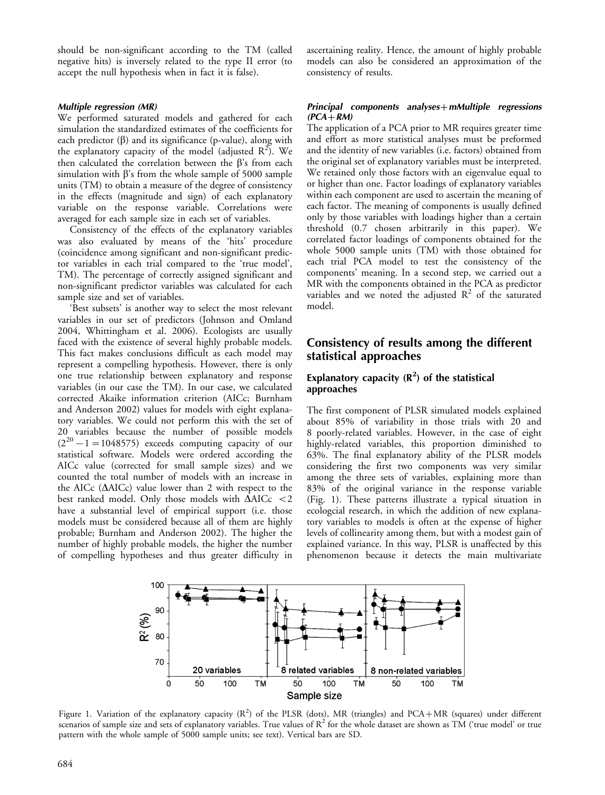should be non-significant according to the TM (called negative hits) is inversely related to the type II error (to accept the null hypothesis when in fact it is false).

#### Multiple regression (MR)

We performed saturated models and gathered for each simulation the standardized estimates of the coefficients for each predictor  $(\beta)$  and its significance (p-value), along with the explanatory capacity of the model (adjusted  $R^2$ ). We then calculated the correlation between the  $\beta$ 's from each simulation with  $\beta$ 's from the whole sample of 5000 sample units (TM) to obtain a measure of the degree of consistency in the effects (magnitude and sign) of each explanatory variable on the response variable. Correlations were averaged for each sample size in each set of variables.

Consistency of the effects of the explanatory variables was also evaluated by means of the 'hits' procedure (coincidence among significant and non-significant predictor variables in each trial compared to the 'true model', TM). The percentage of correctly assigned significant and non-significant predictor variables was calculated for each sample size and set of variables.

'Best subsets' is another way to select the most relevant variables in our set of predictors (Johnson and Omland 2004, Whittingham et al. 2006). Ecologists are usually faced with the existence of several highly probable models. This fact makes conclusions difficult as each model may represent a compelling hypothesis. However, there is only one true relationship between explanatory and response variables (in our case the TM). In our case, we calculated corrected Akaike information criterion (AICc; Burnham and Anderson 2002) values for models with eight explanatory variables. We could not perform this with the set of 20 variables because the number of possible models  $(2^{20} - 1 = 1048575)$  exceeds computing capacity of our statistical software. Models were ordered according the AICc value (corrected for small sample sizes) and we counted the total number of models with an increase in the AICc ( $\triangle$ AICc) value lower than 2 with respect to the best ranked model. Only those models with  $\Delta AICc < 2$ have a substantial level of empirical support (i.e. those models must be considered because all of them are highly probable; Burnham and Anderson 2002). The higher the number of highly probable models, the higher the number of compelling hypotheses and thus greater difficulty in

ascertaining reality. Hence, the amount of highly probable models can also be considered an approximation of the consistency of results.

#### Principal components analyses $+m$ Multiple regressions  $(PCA + RM)$

The application of a PCA prior to MR requires greater time and effort as more statistical analyses must be preformed and the identity of new variables (i.e. factors) obtained from the original set of explanatory variables must be interpreted. We retained only those factors with an eigenvalue equal to or higher than one. Factor loadings of explanatory variables within each component are used to ascertain the meaning of each factor. The meaning of components is usually defined only by those variables with loadings higher than a certain threshold (0.7 chosen arbitrarily in this paper). We correlated factor loadings of components obtained for the whole 5000 sample units (TM) with those obtained for each trial PCA model to test the consistency of the components' meaning. In a second step, we carried out a MR with the components obtained in the PCA as predictor variables and we noted the adjusted  $R^2$  of the saturated model.

# Consistency of results among the different statistical approaches

# Explanatory capacity  $(R^2)$  of the statistical approaches

The first component of PLSR simulated models explained about 85% of variability in those trials with 20 and 8 poorly-related variables. However, in the case of eight highly-related variables, this proportion diminished to 63%. The final explanatory ability of the PLSR models considering the first two components was very similar among the three sets of variables, explaining more than 83% of the original variance in the response variable (Fig. 1). These patterns illustrate a typical situation in ecologcial research, in which the addition of new explanatory variables to models is often at the expense of higher levels of collinearity among them, but with a modest gain of explained variance. In this way, PLSR is unaffected by this phenomenon because it detects the main multivariate



Figure 1. Variation of the explanatory capacity  $(R^2)$  of the PLSR (dots), MR (triangles) and PCA+MR (squares) under different scenarios of sample size and sets of explanatory variables. True values of  $R^2$  for the whole dataset are shown as TM ('true model' or true pattern with the whole sample of 5000 sample units; see text). Vertical bars are SD.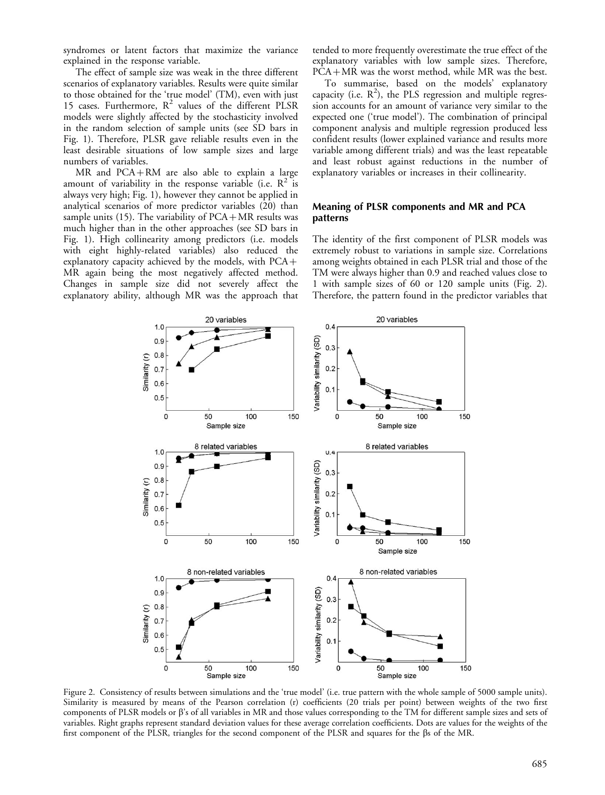syndromes or latent factors that maximize the variance explained in the response variable.

The effect of sample size was weak in the three different scenarios of explanatory variables. Results were quite similar to those obtained for the 'true model' (TM), even with just 15 cases. Furthermore,  $R^2$  values of the different PLSR models were slightly affected by the stochasticity involved in the random selection of sample units (see SD bars in Fig. 1). Therefore, PLSR gave reliable results even in the least desirable situations of low sample sizes and large numbers of variables.

MR and PCA-RM are also able to explain a large amount of variability in the response variable (i.e.  $\mathbb{R}^2$  is always very high; Fig. 1), however they cannot be applied in analytical scenarios of more predictor variables (20) than sample units (15). The variability of PCA-MR results was much higher than in the other approaches (see SD bars in Fig. 1). High collinearity among predictors (i.e. models with eight highly-related variables) also reduced the explanatory capacity achieved by the models, with  $PCA +$ MR again being the most negatively affected method. Changes in sample size did not severely affect the explanatory ability, although MR was the approach that tended to more frequently overestimate the true effect of the explanatory variables with low sample sizes. Therefore, PCA-MR was the worst method, while MR was the best.

To summarise, based on the models' explanatory capacity (i.e.  $R^2$ ), the PLS regression and multiple regression accounts for an amount of variance very similar to the expected one ('true model'). The combination of principal component analysis and multiple regression produced less confident results (lower explained variance and results more variable among different trials) and was the least repeatable and least robust against reductions in the number of explanatory variables or increases in their collinearity.

#### Meaning of PLSR components and MR and PCA patterns

The identity of the first component of PLSR models was extremely robust to variations in sample size. Correlations among weights obtained in each PLSR trial and those of the TM were always higher than 0.9 and reached values close to 1 with sample sizes of 60 or 120 sample units (Fig. 2). Therefore, the pattern found in the predictor variables that



Figure 2. Consistency of results between simulations and the 'true model' (i.e. true pattern with the whole sample of 5000 sample units). Similarity is measured by means of the Pearson correlation (r) coefficients (20 trials per point) between weights of the two first components of PLSR models or  $\beta$ 's of all variables in MR and those values corresponding to the TM for different sample sizes and sets of variables. Right graphs represent standard deviation values for these average correlation coefficients. Dots are values for the weights of the first component of the PLSR, triangles for the second component of the PLSR and squares for the bs of the MR.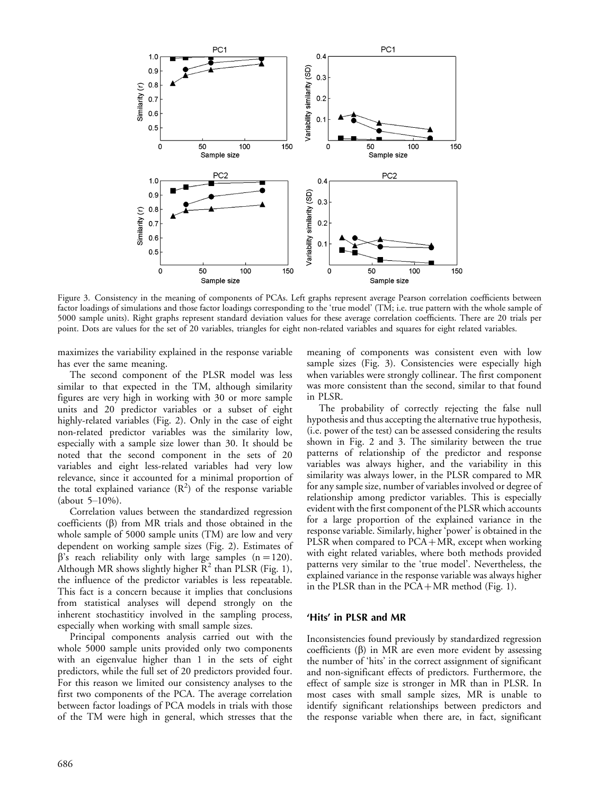

Figure 3. Consistency in the meaning of components of PCAs. Left graphs represent average Pearson correlation coefficients between factor loadings of simulations and those factor loadings corresponding to the 'true model' (TM; i.e. true pattern with the whole sample of 5000 sample units). Right graphs represent standard deviation values for these average correlation coefficients. There are 20 trials per point. Dots are values for the set of 20 variables, triangles for eight non-related variables and squares for eight related variables.

maximizes the variability explained in the response variable has ever the same meaning.

The second component of the PLSR model was less similar to that expected in the TM, although similarity figures are very high in working with 30 or more sample units and 20 predictor variables or a subset of eight highly-related variables (Fig. 2). Only in the case of eight non-related predictor variables was the similarity low, especially with a sample size lower than 30. It should be noted that the second component in the sets of 20 variables and eight less-related variables had very low relevance, since it accounted for a minimal proportion of the total explained variance  $(R^2)$  of the response variable (about  $5-10%$ ).

Correlation values between the standardized regression coefficients  $(\beta)$  from MR trials and those obtained in the whole sample of 5000 sample units (TM) are low and very dependent on working sample sizes (Fig. 2). Estimates of  $\beta$ 's reach reliability only with large samples (n = 120). Although MR shows slightly higher  $R^2$  than PLSR (Fig. 1), the influence of the predictor variables is less repeatable. This fact is a concern because it implies that conclusions from statistical analyses will depend strongly on the inherent stochastiticy involved in the sampling process, especially when working with small sample sizes.

Principal components analysis carried out with the whole 5000 sample units provided only two components with an eigenvalue higher than 1 in the sets of eight predictors, while the full set of 20 predictors provided four. For this reason we limited our consistency analyses to the first two components of the PCA. The average correlation between factor loadings of PCA models in trials with those of the TM were high in general, which stresses that the

meaning of components was consistent even with low sample sizes (Fig. 3). Consistencies were especially high when variables were strongly collinear. The first component was more consistent than the second, similar to that found in PLSR.

The probability of correctly rejecting the false null hypothesis and thus accepting the alternative true hypothesis, (i.e. power of the test) can be assessed considering the results shown in Fig. 2 and 3. The similarity between the true patterns of relationship of the predictor and response variables was always higher, and the variability in this similarity was always lower, in the PLSR compared to MR for any sample size, number of variables involved or degree of relationship among predictor variables. This is especially evident with the first component of the PLSR which accounts for a large proportion of the explained variance in the response variable. Similarly, higher 'power' is obtained in the PLSR when compared to PCA+MR, except when working with eight related variables, where both methods provided patterns very similar to the 'true model'. Nevertheless, the explained variance in the response variable was always higher in the PLSR than in the PCA-MR method (Fig. 1).

#### 'Hits' in PLSR and MR

Inconsistencies found previously by standardized regression coefficients  $(\beta)$  in MR are even more evident by assessing the number of 'hits' in the correct assignment of significant and non-significant effects of predictors. Furthermore, the effect of sample size is stronger in MR than in PLSR. In most cases with small sample sizes, MR is unable to identify significant relationships between predictors and the response variable when there are, in fact, significant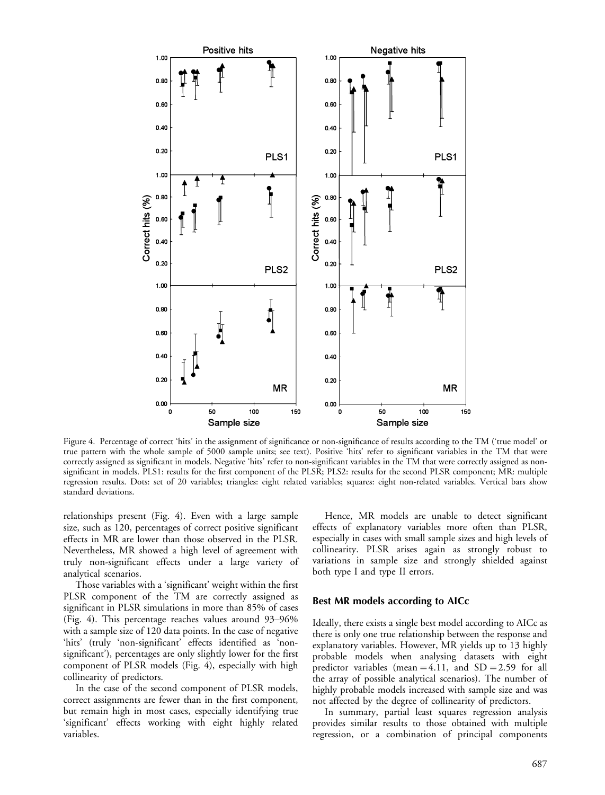

Figure 4. Percentage of correct 'hits' in the assignment of significance or non-significance of results according to the TM ('true model' or true pattern with the whole sample of 5000 sample units; see text). Positive 'hits' refer to significant variables in the TM that were correctly assigned as significant in models. Negative 'hits' refer to non-significant variables in the TM that were correctly assigned as nonsignificant in models. PLS1: results for the first component of the PLSR; PLS2: results for the second PLSR component; MR: multiple regression results. Dots: set of 20 variables; triangles: eight related variables; squares: eight non-related variables. Vertical bars show standard deviations.

relationships present (Fig. 4). Even with a large sample size, such as 120, percentages of correct positive significant effects in MR are lower than those observed in the PLSR. Nevertheless, MR showed a high level of agreement with truly non-significant effects under a large variety of analytical scenarios.

Those variables with a 'significant' weight within the first PLSR component of the TM are correctly assigned as significant in PLSR simulations in more than 85% of cases (Fig. 4). This percentage reaches values around  $93-96\%$ with a sample size of 120 data points. In the case of negative 'hits' (truly 'non-significant' effects identified as 'nonsignificant'), percentages are only slightly lower for the first component of PLSR models (Fig. 4), especially with high collinearity of predictors.

In the case of the second component of PLSR models, correct assignments are fewer than in the first component, but remain high in most cases, especially identifying true 'significant' effects working with eight highly related variables.

Hence, MR models are unable to detect significant effects of explanatory variables more often than PLSR, especially in cases with small sample sizes and high levels of collinearity. PLSR arises again as strongly robust to variations in sample size and strongly shielded against both type I and type II errors.

#### Best MR models according to AICc

Ideally, there exists a single best model according to AICc as there is only one true relationship between the response and explanatory variables. However, MR yields up to 13 highly probable models when analysing datasets with eight predictor variables (mean = 4.11, and  $SD = 2.59$  for all the array of possible analytical scenarios). The number of highly probable models increased with sample size and was not affected by the degree of collinearity of predictors.

In summary, partial least squares regression analysis provides similar results to those obtained with multiple regression, or a combination of principal components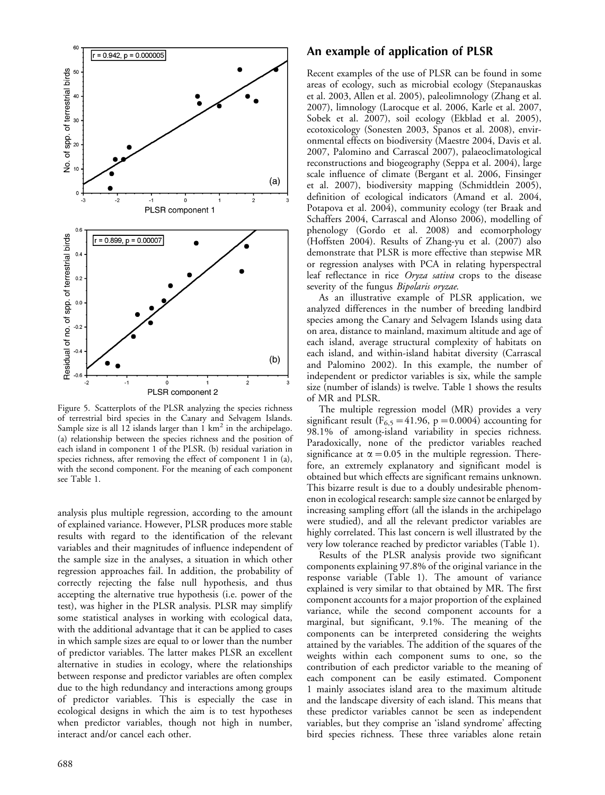

Figure 5. Scatterplots of the PLSR analyzing the species richness of terrestrial bird species in the Canary and Selvagem Islands. Sample size is all 12 islands larger than  $1 \text{ km}^2$  in the archipelago. (a) relationship between the species richness and the position of each island in component 1 of the PLSR. (b) residual variation in species richness, after removing the effect of component 1 in (a), with the second component. For the meaning of each component see Table 1.

analysis plus multiple regression, according to the amount of explained variance. However, PLSR produces more stable results with regard to the identification of the relevant variables and their magnitudes of influence independent of the sample size in the analyses, a situation in which other regression approaches fail. In addition, the probability of correctly rejecting the false null hypothesis, and thus accepting the alternative true hypothesis (i.e. power of the test), was higher in the PLSR analysis. PLSR may simplify some statistical analyses in working with ecological data, with the additional advantage that it can be applied to cases in which sample sizes are equal to or lower than the number of predictor variables. The latter makes PLSR an excellent alternative in studies in ecology, where the relationships between response and predictor variables are often complex due to the high redundancy and interactions among groups of predictor variables. This is especially the case in ecological designs in which the aim is to test hypotheses when predictor variables, though not high in number, interact and/or cancel each other.

# An example of application of PLSR

Recent examples of the use of PLSR can be found in some areas of ecology, such as microbial ecology (Stepanauskas et al. 2003, Allen et al. 2005), paleolimnology (Zhang et al. 2007), limnology (Larocque et al. 2006, Karle et al. 2007, Sobek et al. 2007), soil ecology (Ekblad et al. 2005), ecotoxicology (Sonesten 2003, Spanos et al. 2008), environmental effects on biodiversity (Maestre 2004, Davis et al. 2007, Palomino and Carrascal 2007), palaeoclimatological reconstructions and biogeography (Seppa et al. 2004), large scale influence of climate (Bergant et al. 2006, Finsinger et al. 2007), biodiversity mapping (Schmidtlein 2005), definition of ecological indicators (Amand et al. 2004, Potapova et al. 2004), community ecology (ter Braak and Schaffers 2004, Carrascal and Alonso 2006), modelling of phenology (Gordo et al. 2008) and ecomorphology (Hoffsten 2004). Results of Zhang-yu et al. (2007) also demonstrate that PLSR is more effective than stepwise MR or regression analyses with PCA in relating hyperspectral leaf reflectance in rice Oryza sativa crops to the disease severity of the fungus *Bipolaris oryzae*.

As an illustrative example of PLSR application, we analyzed differences in the number of breeding landbird species among the Canary and Selvagem Islands using data on area, distance to mainland, maximum altitude and age of each island, average structural complexity of habitats on each island, and within-island habitat diversity (Carrascal and Palomino 2002). In this example, the number of independent or predictor variables is six, while the sample size (number of islands) is twelve. Table 1 shows the results of MR and PLSR.

The multiple regression model (MR) provides a very significant result ( $F_{6,5}$  = 41.96, p = 0.0004) accounting for 98.1% of among-island variability in species richness. Paradoxically, none of the predictor variables reached significance at  $\alpha$  = 0.05 in the multiple regression. Therefore, an extremely explanatory and significant model is obtained but which effects are significant remains unknown. This bizarre result is due to a doubly undesirable phenomenon in ecological research: sample size cannot be enlarged by increasing sampling effort (all the islands in the archipelago were studied), and all the relevant predictor variables are highly correlated. This last concern is well illustrated by the very low tolerance reached by predictor variables (Table 1).

Results of the PLSR analysis provide two significant components explaining 97.8% of the original variance in the response variable (Table 1). The amount of variance explained is very similar to that obtained by MR. The first component accounts for a major proportion of the explained variance, while the second component accounts for a marginal, but significant, 9.1%. The meaning of the components can be interpreted considering the weights attained by the variables. The addition of the squares of the weights within each component sums to one, so the contribution of each predictor variable to the meaning of each component can be easily estimated. Component 1 mainly associates island area to the maximum altitude and the landscape diversity of each island. This means that these predictor variables cannot be seen as independent variables, but they comprise an 'island syndrome' affecting bird species richness. These three variables alone retain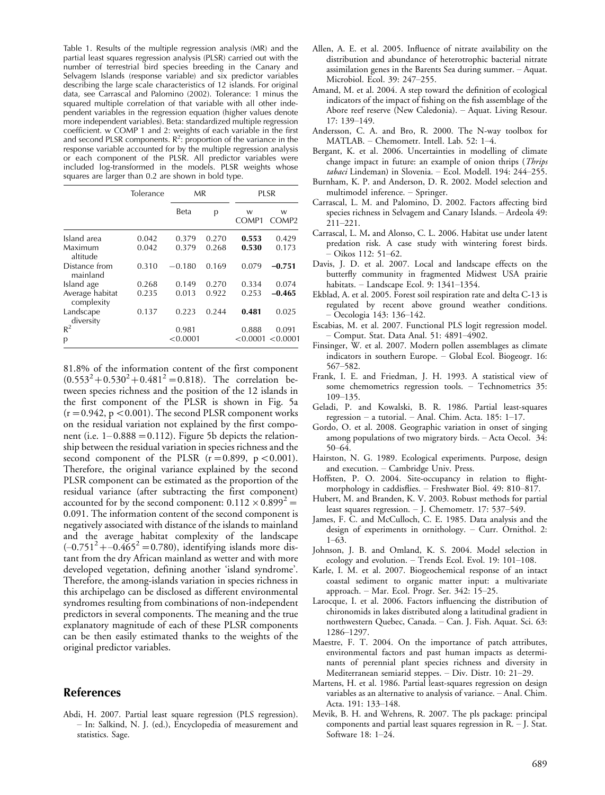Table 1. Results of the multiple regression analysis (MR) and the partial least squares regression analysis (PLSR) carried out with the number of terrestrial bird species breeding in the Canary and Selvagem Islands (response variable) and six predictor variables describing the large scale characteristics of 12 islands. For original data, see Carrascal and Palomino (2002). Tolerance: 1 minus the squared multiple correlation of that variable with all other independent variables in the regression equation (higher values denote more independent variables). Beta: standardized multiple regression coefficient. w COMP 1 and 2: weights of each variable in the first and second PLSR components.  $R^2$ : proportion of the variance in the response variable accounted for by the multiple regression analysis or each component of the PLSR. All predictor variables were included log-transformed in the models. PLSR weights whose squares are larger than 0.2 are shown in bold type.

|                               | Tolerance | MR       |       | PLSR                   |                        |
|-------------------------------|-----------|----------|-------|------------------------|------------------------|
|                               |           | Beta     | р     | W<br>COMP <sub>1</sub> | W<br>COMP <sub>2</sub> |
| Island area                   | 0.042     | 0.379    | 0.270 | 0.553                  | 0.429                  |
| Maximum<br>altitude           | 0.042     | 0.379    | 0.268 | 0.530                  | 0.173                  |
| Distance from<br>mainland     | 0.310     | $-0.180$ | 0.169 | 0.079                  | $-0.751$               |
| Island age                    | 0.268     | 0.149    | 0.270 | 0.334                  | 0.074                  |
| Average habitat<br>complexity | 0.235     | 0.013    | 0.922 | 0.253                  | $-0.465$               |
| Landscape<br>diversity        | 0.137     | 0.223    | 0.244 | 0.481                  | 0.025                  |
| $R^2$                         |           | 0.981    |       | 0.888                  | 0.091                  |
| p                             |           | < 0.0001 |       | < 0.0001               | < 0.0001               |

81.8% of the information content of the first component  $(0.553^2 + 0.530^2 + 0.481^2 = 0.818)$ . The correlation between species richness and the position of the 12 islands in the first component of the PLSR is shown in Fig. 5a  $(r=0.942, p<0.001)$ . The second PLSR component works on the residual variation not explained by the first component (i.e.  $1 - 0.888 = 0.112$ ). Figure 5b depicts the relationship between the residual variation in species richness and the second component of the PLSR  $(r=0.899, p<0.001)$ . Therefore, the original variance explained by the second PLSR component can be estimated as the proportion of the residual variance (after subtracting the first component) accounted for by the second component:  $0.112 \times 0.899^2 =$ 0.091. The information content of the second component is negatively associated with distance of the islands to mainland and the average habitat complexity of the landscape  $(-0.751^2 + -0.465^2) = 0.780$ , identifying islands more distant from the dry African mainland as wetter and with more developed vegetation, defining another 'island syndrome'. Therefore, the among-islands variation in species richness in this archipelago can be disclosed as different environmental syndromes resulting from combinations of non-independent predictors in several components. The meaning and the true explanatory magnitude of each of these PLSR components can be then easily estimated thanks to the weights of the original predictor variables.

## References

Abdi, H. 2007. Partial least square regression (PLS regression). - In: Salkind, N. J. (ed.), Encyclopedia of measurement and statistics. Sage.

- Allen, A. E. et al. 2005. Influence of nitrate availability on the distribution and abundance of heterotrophic bacterial nitrate assimilation genes in the Barents Sea during summer. Aquat. Microbiol. Ecol. 39: 247-255.
- Amand, M. et al. 2004. A step toward the definition of ecological indicators of the impact of fishing on the fish assemblage of the Abore reef reserve (New Caledonia). Aquat. Living Resour. 17: 139-149.
- Andersson, C. A. and Bro, R. 2000. The N-way toolbox for MATLAB. - Chemometr. Intell. Lab. 52: 1-4.
- Bergant, K. et al. 2006. Uncertainties in modelling of climate change impact in future: an example of onion thrips (Thrips tabaci Lindeman) in Slovenia. - Ecol. Modell. 194: 244-255.
- Burnham, K. P. and Anderson, D. R. 2002. Model selection and multimodel inference. - Springer.
- Carrascal, L. M. and Palomino, D. 2002. Factors affecting bird species richness in Selvagem and Canary Islands. - Ardeola 49: 211221.
- Carrascal, L. M. and Alonso, C. L. 2006. Habitat use under latent predation risk. A case study with wintering forest birds. Oikos 112: 51-62.
- Davis, J. D. et al. 2007. Local and landscape effects on the butterfly community in fragmented Midwest USA prairie habitats. - Landscape Ecol. 9: 1341-1354.
- Ekblad, A. et al. 2005. Forest soil respiration rate and delta C-13 is regulated by recent above ground weather conditions. - Oecologia 143: 136-142.
- Escabias, M. et al. 2007. Functional PLS logit regression model. - Comput. Stat. Data Anal. 51: 4891-4902.
- Finsinger, W. et al. 2007. Modern pollen assemblages as climate indicators in southern Europe. Global Ecol. Biogeogr. 16: 567-582.
- Frank, I. E. and Friedman, J. H. 1993. A statistical view of some chemometrics regression tools. - Technometrics 35: 109-135.
- Geladi, P. and Kowalski, B. R. 1986. Partial least-squares regression  $-$  a tutorial.  $-$  Anal. Chim. Acta. 185: 1–17.
- Gordo, O. et al. 2008. Geographic variation in onset of singing among populations of two migratory birds. Acta Oecol. 34: 50-64.
- Hairston, N. G. 1989. Ecological experiments. Purpose, design and execution. Cambridge Univ. Press.
- Hoffsten, P. O. 2004. Site-occupancy in relation to flightmorphology in caddisflies. - Freshwater Biol. 49: 810-817.
- Hubert, M. and Branden, K. V. 2003. Robust methods for partial least squares regression. - J. Chemometr. 17: 537-549.
- James, F. C. and McCulloch, C. E. 1985. Data analysis and the design of experiments in ornithology. - Curr. Ornithol. 2:  $1 - 63$ .
- Johnson, J. B. and Omland, K. S. 2004. Model selection in ecology and evolution. - Trends Ecol. Evol. 19: 101-108.
- Karle, I. M. et al. 2007. Biogeochemical response of an intact coastal sediment to organic matter input: a multivariate approach. – Mar. Ecol. Progr. Ser. 342: 15–25.
- Larocque, I. et al. 2006. Factors influencing the distribution of chironomids in lakes distributed along a latitudinal gradient in northwestern Quebec, Canada. - Can. J. Fish. Aquat. Sci. 63: 1286-1297.
- Maestre, F. T. 2004. On the importance of patch attributes, environmental factors and past human impacts as determinants of perennial plant species richness and diversity in Mediterranean semiarid steppes. - Div. Distr. 10: 21-29.
- Martens, H. et al. 1986. Partial least-squares regression on design variables as an alternative to analysis of variance. - Anal. Chim. Acta. 191: 133-148.
- Mevik, B. H. and Wehrens, R. 2007. The pls package: principal components and partial least squares regression in  $R. - J.$  Stat. Software  $18: 1-24$ .